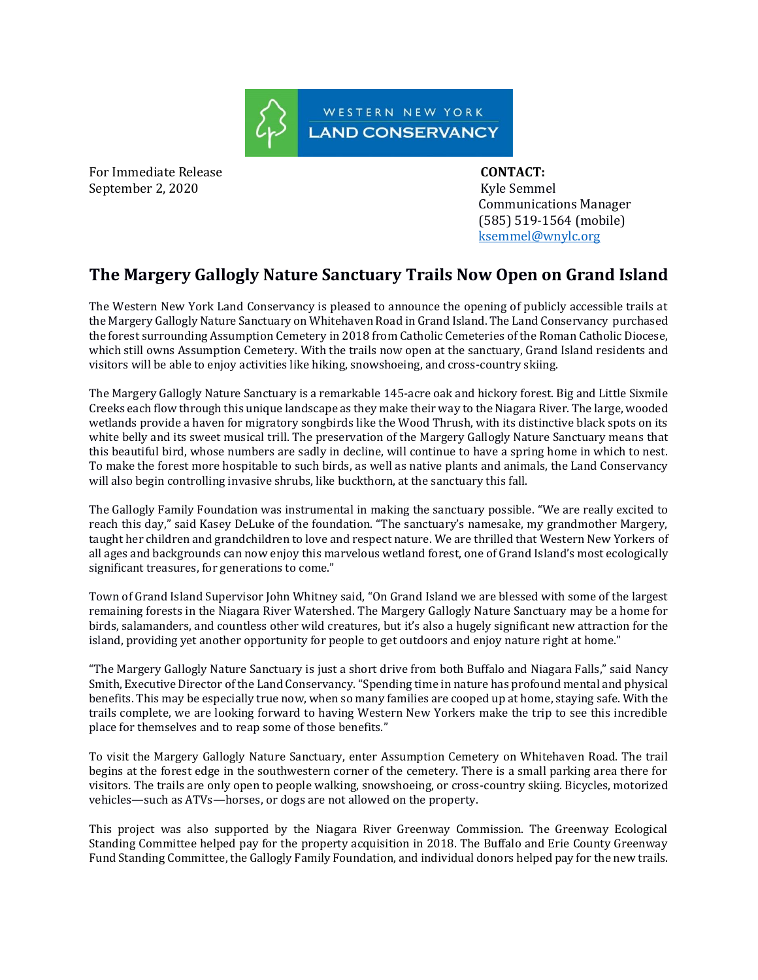

For Immediate Release **CONTACT:**  September 2, 2020 Kyle Semmel

 Communications Manager (585) 519-1564 (mobile) [ksemmel@wnylc.org](mailto:ksemmel@wnylc.org)

## **The Margery Gallogly Nature Sanctuary Trails Now Open on Grand Island**

The Western New York Land Conservancy is pleased to announce the opening of publicly accessible trails at the Margery Gallogly Nature Sanctuary on Whitehaven Road in Grand Island. The Land Conservancy purchased the forest surrounding Assumption Cemetery in 2018 from Catholic Cemeteries of the Roman Catholic Diocese, which still owns Assumption Cemetery. With the trails now open at the sanctuary, Grand Island residents and visitors will be able to enjoy activities like hiking, snowshoeing, and cross-country skiing.

The Margery Gallogly Nature Sanctuary is a remarkable 145-acre oak and hickory forest. Big and Little Sixmile Creeks each flow through this unique landscape as they make their way to the Niagara River. The large, wooded wetlands provide a haven for migratory songbirds like the Wood Thrush, with its distinctive black spots on its white belly and its sweet musical trill. The preservation of the Margery Gallogly Nature Sanctuary means that this beautiful bird, whose numbers are sadly in decline, will continue to have a spring home in which to nest. To make the forest more hospitable to such birds, as well as native plants and animals, the Land Conservancy will also begin controlling invasive shrubs, like buckthorn, at the sanctuary this fall.

The Gallogly Family Foundation was instrumental in making the sanctuary possible. "We are really excited to reach this day," said Kasey DeLuke of the foundation. "The sanctuary's namesake, my grandmother Margery, taught her children and grandchildren to love and respect nature. We are thrilled that Western New Yorkers of all ages and backgrounds can now enjoy this marvelous wetland forest, one of Grand Island's most ecologically significant treasures, for generations to come."

Town of Grand Island Supervisor John Whitney said, "On Grand Island we are blessed with some of the largest remaining forests in the Niagara River Watershed. The Margery Gallogly Nature Sanctuary may be a home for birds, salamanders, and countless other wild creatures, but it's also a hugely significant new attraction for the island, providing yet another opportunity for people to get outdoors and enjoy nature right at home."

"The Margery Gallogly Nature Sanctuary is just a short drive from both Buffalo and Niagara Falls," said Nancy Smith, Executive Director of the Land Conservancy. "Spending time in nature has profound mental and physical benefits. This may be especially true now, when so many families are cooped up at home, staying safe. With the trails complete, we are looking forward to having Western New Yorkers make the trip to see this incredible place for themselves and to reap some of those benefits."

To visit the Margery Gallogly Nature Sanctuary, enter Assumption Cemetery on Whitehaven Road. The trail begins at the forest edge in the southwestern corner of the cemetery. There is a small parking area there for visitors. The trails are only open to people walking, snowshoeing, or cross-country skiing. Bicycles, motorized vehicles—such as ATVs—horses, or dogs are not allowed on the property.

This project was also supported by the Niagara River Greenway Commission. The Greenway Ecological Standing Committee helped pay for the property acquisition in 2018. The Buffalo and Erie County Greenway Fund Standing Committee, the Gallogly Family Foundation, and individual donors helped pay for the new trails.